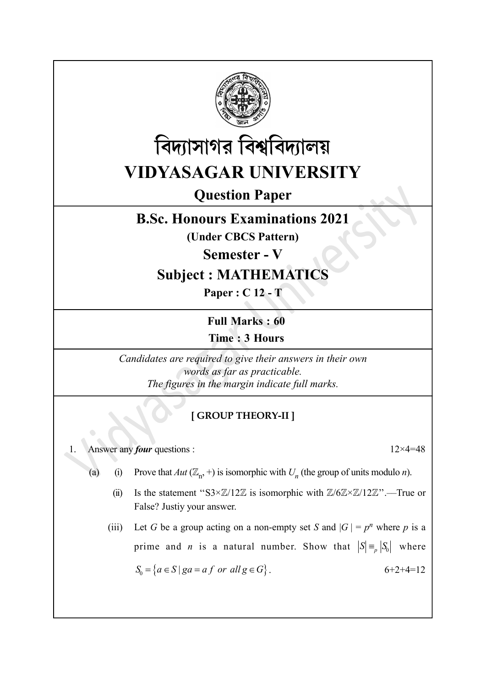



Question Paper

## B.Sc. Honours Examinations 2021

(Under CBCS Pattern)

Semester - V

## Subject : MATHEMATICS

Paper : C 12 - T

Full Marks : 60 Time : 3 Hours

Candidates are required to give their answers in their own words as far as practicable. The figures in the margin indicate full marks.

## [ GROUP THEORY-II ]

1. Answer any *four* questions :  $12 \times 4 = 48$ 

- (a) (i) Prove that  $Aut(\mathbb{Z}_n, +)$  is isomorphic with  $U_n$  (the group of units modulo *n*).
	- (ii) Is the statement "S3× $\mathbb{Z}/12\mathbb{Z}$  is isomorphic with  $\mathbb{Z}/6\mathbb{Z} \times \mathbb{Z}/12\mathbb{Z}$ ".—True or False? Justiy your answer.

(iii) Let G be a group acting on a non-empty set S and  $|G| = p^n$  where p is a prime and *n* is a natural number. Show that  $|S| = |S_0|$  where  $S_0 = \{a \in S \mid ga = af \text{ or all } g \in G\}.$  6+2+4=12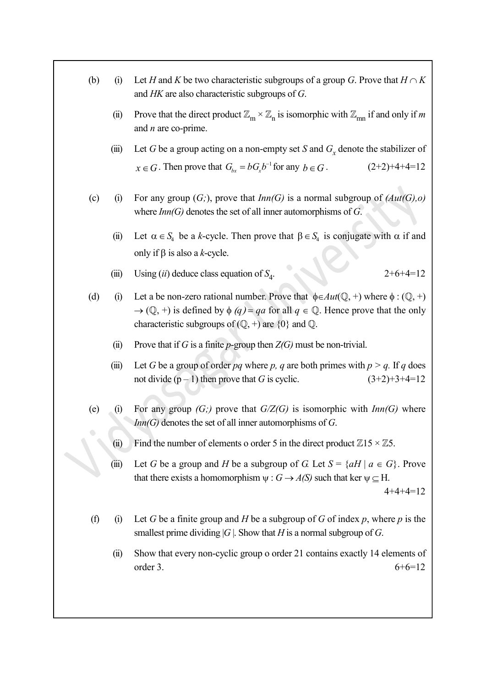| (b) | (i)   | Let H and K be two characteristic subgroups of a group G. Prove that $H \cap K$<br>and $HK$ are also characteristic subgroups of $G$ .                                                                                                                                                                  |
|-----|-------|---------------------------------------------------------------------------------------------------------------------------------------------------------------------------------------------------------------------------------------------------------------------------------------------------------|
|     | (ii)  | Prove that the direct product $\mathbb{Z}_m \times \mathbb{Z}_n$ is isomorphic with $\mathbb{Z}_{mn}$ if and only if m<br>and $n$ are co-prime.                                                                                                                                                         |
|     | (iii) | Let G be a group acting on a non-empty set S and $G_x$ denote the stabilizer of                                                                                                                                                                                                                         |
|     |       | $x \in G$ . Then prove that $G_{bx} = bG_x b^{-1}$ for any $b \in G$ .<br>$(2+2)+4+4=12$                                                                                                                                                                                                                |
| (c) | (i)   | For any group $(G;)$ , prove that $Inn(G)$ is a normal subgroup of $(Aut(G), o)$<br>where $Inn(G)$ denotes the set of all inner automorphisms of G.                                                                                                                                                     |
|     | (ii)  | Let $\alpha \in S_4$ be a k-cycle. Then prove that $\beta \in S_4$ is conjugate with $\alpha$ if and                                                                                                                                                                                                    |
|     |       | only if $\beta$ is also a k-cycle.                                                                                                                                                                                                                                                                      |
|     | (iii) | Using (ii) deduce class equation of $S_4$ .<br>$2+6+4=12$                                                                                                                                                                                                                                               |
| (d) | (i)   | Let a be non-zero rational number. Prove that $\phi \in Aut(\mathbb{Q}, +)$ where $\phi : (\mathbb{Q}, +)$<br>$\rightarrow$ (Q, +) is defined by $\phi$ (q) = qa for all $q \in \mathbb{Q}$ . Hence prove that the only<br>characteristic subgroups of $(\mathbb{Q}, +)$ are $\{0\}$ and $\mathbb{Q}$ . |
|     | (ii)  | Prove that if G is a finite p-group then $Z(G)$ must be non-trivial.                                                                                                                                                                                                                                    |
|     | (iii) | Let G be a group of order pq where p, q are both primes with $p > q$ . If q does<br>not divide $(p-1)$ then prove that G is cyclic.<br>$(3+2)+3+4=12$                                                                                                                                                   |
| (e) | (i)   | For any group $(G; )$ prove that $G/Z(G)$ is isomorphic with $Inn(G)$ where<br>$Inn(G)$ denotes the set of all inner automorphisms of G.                                                                                                                                                                |
|     | (ii)  | Find the number of elements o order 5 in the direct product $\mathbb{Z}15 \times \mathbb{Z}5$ .                                                                                                                                                                                                         |
|     | (iii) | Let G be a group and H be a subgroup of G. Let $S = \{aH \mid a \in G\}$ . Prove<br>that there exists a homomorphism $\psi$ : $G \rightarrow A(S)$ such that ker $\psi \subseteq H$ .<br>$4+4+4=12$                                                                                                     |
| (f) | (i)   | Let G be a finite group and H be a subgroup of G of index p, where p is the<br>smallest prime dividing $ G $ . Show that H is a normal subgroup of G.                                                                                                                                                   |
|     | (ii)  | Show that every non-cyclic group o order 21 contains exactly 14 elements of<br>$6+6=12$<br>order 3.                                                                                                                                                                                                     |
|     |       |                                                                                                                                                                                                                                                                                                         |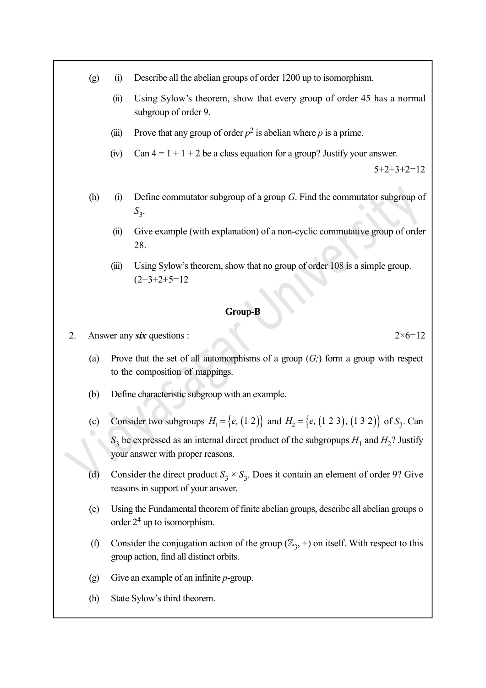- (g) (i) Describe all the abelian groups of order 1200 up to isomorphism.
	- (ii) Using Sylow's theorem, show that every group of order 45 has a normal subgroup of order 9.
	- (iii) Prove that any group of order  $p^2$  is abelian where p is a prime.
	- (iv) Can  $4 = 1 + 1 + 2$  be a class equation for a group? Justify your answer.

 $5+2+3+2=12$ 

- (h) (i) Define commutator subgroup of a group  $G$ . Find the commutator subgroup of  $S_3$ .
	- (ii) Give example (with explanation) of a non-cyclic commutative group of order 28.
	- (iii) Using Sylow's theorem, show that no group of order 108 is a simple group.  $(2+3+2+5=12)$

## Group-B

2. Answer any six questions :  $2 \times 6 = 12$ 

- (a) Prove that the set of all automorphisms of a group  $(G; )$  form a group with respect to the composition of mappings.
- (b) Define characteristic subgroup with an example.
- (c) Consider two subgroups  $H_1 = \{e, (1\ 2)\}$  and  $H_2 = \{e, (1\ 2\ 3), (1\ 3\ 2)\}$  of  $S_3$ . Can  $S_3$  be expressed as an internal direct product of the subgropups  $H_1$  and  $H_2$ ? Justify your answer with proper reasons.
- (d) Consider the direct product  $S_3 \times S_3$ . Does it contain an element of order 9? Give reasons in support of your answer.
- (e) Using the Fundamental theorem of finite abelian groups, describe all abelian groups o order  $2<sup>4</sup>$  up to isomorphism.
- (f) Consider the conjugation action of the group  $(\mathbb{Z}_3, +)$  on itself. With respect to this group action, find all distinct orbits.
- (g) Give an example of an infinite  $p$ -group.
- (h) State Sylow's third theorem.